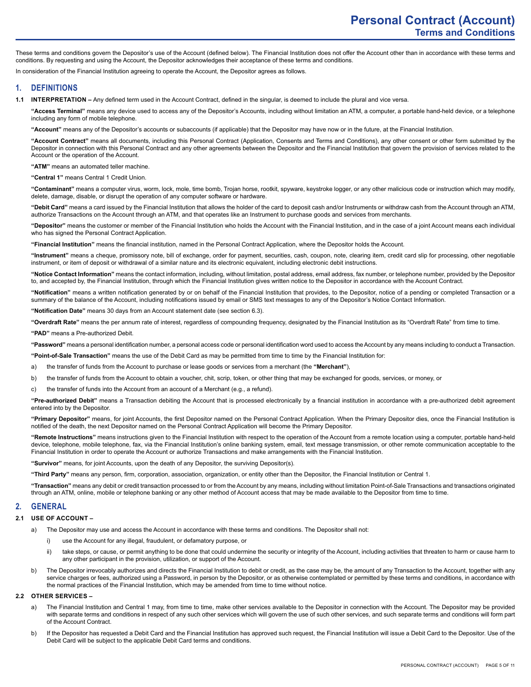These terms and conditions govern the Depositor's use of the Account (defined below). The Financial Institution does not offer the Account other than in accordance with these terms and conditions. By requesting and using the Account, the Depositor acknowledges their acceptance of these terms and conditions.

In consideration of the Financial Institution agreeing to operate the Account, the Depositor agrees as follows.

## **1. DEFINITIONS**

**1.1 INTERPRETATION –** Any defined term used in the Account Contract, defined in the singular, is deemed to include the plural and vice versa.

**"Access Terminal"** means any device used to access any of the Depositor's Accounts, including without limitation an ATM, a computer, a portable hand-held device, or a telephone including any form of mobile telephone.

**"Account"** means any of the Depositor's accounts or subaccounts (if applicable) that the Depositor may have now or in the future, at the Financial Institution.

**"Account Contract"** means all documents, including this Personal Contract (Application, Consents and Terms and Conditions), any other consent or other form submitted by the Depositor in connection with this Personal Contract and any other agreements between the Depositor and the Financial Institution that govern the provision of services related to the Account or the operation of the Account.

**"ATM"** means an automated teller machine.

**"Central 1"** means Central 1 Credit Union.

**"Contaminant"** means a computer virus, worm, lock, mole, time bomb, Trojan horse, rootkit, spyware, keystroke logger, or any other malicious code or instruction which may modify, delete, damage, disable, or disrupt the operation of any computer software or hardware.

**"Debit Card"** means a card issued by the Financial Institution that allows the holder of the card to deposit cash and/or Instruments or withdraw cash from the Account through an ATM, authorize Transactions on the Account through an ATM, and that operates like an Instrument to purchase goods and services from merchants

**"Depositor"** means the customer or member of the Financial Institution who holds the Account with the Financial Institution, and in the case of a joint Account means each individual who has signed the Personal Contract Application.

**"Financial Institution"** means the financial institution, named in the Personal Contract Application, where the Depositor holds the Account.

**"Instrument"** means a cheque, promissory note, bill of exchange, order for payment, securities, cash, coupon, note, clearing item, credit card slip for processing, other negotiable instrument, or item of deposit or withdrawal of a similar nature and its electronic equivalent, including electronic debit instructions.

**"Notice Contact Information"** means the contact information, including, without limitation, postal address, email address, fax number, or telephone number, provided by the Depositor to, and accepted by, the Financial Institution, through which the Financial Institution gives written notice to the Depositor in accordance with the Account Contract.

**"Notification"** means a written notification generated by or on behalf of the Financial Institution that provides, to the Depositor, notice of a pending or completed Transaction or a summary of the balance of the Account, including notifications issued by email or SMS text messages to any of the Depositor's Notice Contact Information.

**"Notification Date"** means 30 days from an Account statement date (see section 6.3).

**"Overdraft Rate"** means the per annum rate of interest, regardless of compounding frequency, designated by the Financial Institution as its "Overdraft Rate" from time to time.

**"PAD"** means a Pre-authorized Debit.

**"Password"** means a personal identification number, a personal access code or personal identification word used to access the Account by any means including to conduct a Transaction.

**"Point-of-Sale Transaction"** means the use of the Debit Card as may be permitted from time to time by the Financial Institution for:

a) the transfer of funds from the Account to purchase or lease goods or services from a merchant (the **"Merchant"**),

- b) the transfer of funds from the Account to obtain a voucher, chit, scrip, token, or other thing that may be exchanged for goods, services, or money, or
- c) the transfer of funds into the Account from an account of a Merchant (e.g., a refund).

**"Pre-authorized Debit"** means a Transaction debiting the Account that is processed electronically by a financial institution in accordance with a pre-authorized debit agreement entered into by the Depositor.

**"Primary Depositor"** means, for joint Accounts, the first Depositor named on the Personal Contract Application. When the Primary Depositor dies, once the Financial Institution is notified of the death, the next Depositor named on the Personal Contract Application will become the Primary Depositor.

**"Remote Instructions"** means instructions given to the Financial Institution with respect to the operation of the Account from a remote location using a computer, portable hand-held device, telephone, mobile telephone, fax, via the Financial Institution's online banking system, email, text message transmission, or other remote communication acceptable to the Financial Institution in order to operate the Account or authorize Transactions and make arrangements with the Financial Institution.

**"Survivor"** means, for joint Accounts, upon the death of any Depositor, the surviving Depositor(s).

**"Third Party"** means any person, firm, corporation, association, organization, or entity other than the Depositor, the Financial Institution or Central 1.

**"Transaction"** means any debit or credit transaction processed to or from the Account by any means, including without limitation Point-of-Sale Transactions and transactions originated through an ATM, online, mobile or telephone banking or any other method of Account access that may be made available to the Depositor from time to time.

## **2. GENERAL**

#### **2.1 USE OF ACCOUNT –**

- a) The Depositor may use and access the Account in accordance with these terms and conditions. The Depositor shall not:
	- i) use the Account for any illegal, fraudulent, or defamatory purpose, or
	- ii) take steps, or cause, or permit anything to be done that could undermine the security or integrity of the Account, including activities that threaten to harm or cause harm to any other participant in the provision, utilization, or support of the Account.
- b) The Depositor irrevocably authorizes and directs the Financial Institution to debit or credit, as the case may be, the amount of any Transaction to the Account, together with any service charges or fees, authorized using a Password, in person by the Depositor, or as otherwise contemplated or permitted by these terms and conditions, in accordance with the normal practices of the Financial Institution, which may be amended from time to time without notice.

#### **2.2 OTHER SERVICES –**

- a) The Financial Institution and Central 1 may, from time to time, make other services available to the Depositor in connection with the Account. The Depositor may be provided with separate terms and conditions in respect of any such other services which will govern the use of such other services, and such separate terms and conditions will form part of the Account Contract.
- b) If the Depositor has requested a Debit Card and the Financial Institution has approved such request, the Financial Institution will issue a Debit Card to the Depositor. Use of the Debit Card will be subject to the applicable Debit Card terms and conditions.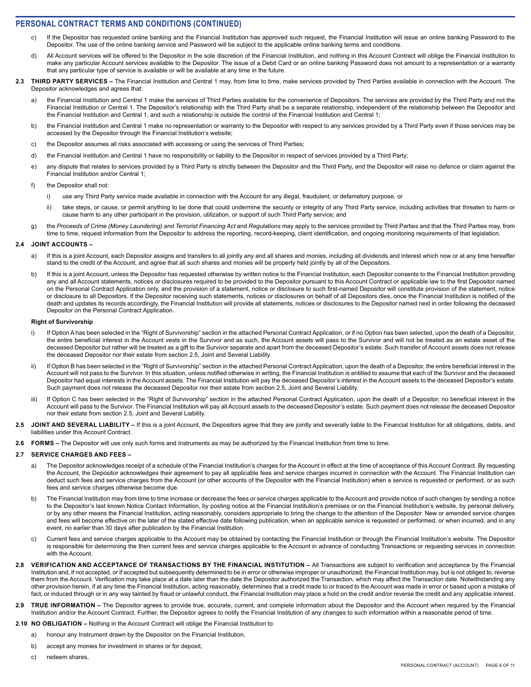- c) If the Depositor has requested online banking and the Financial Institution has approved such request, the Financial Institution will issue an online banking Password to the Depositor. The use of the online banking service and Password will be subject to the applicable online banking terms and conditions.
- d) All Account services will be offered to the Depositor in the sole discretion of the Financial Institution, and nothing in this Account Contract will oblige the Financial Institution to make any particular Account services available to the Depositor. The issue of a Debit Card or an online banking Password does not amount to a representation or a warranty that any particular type of service is available or will be available at any time in the future.
- **2.3 THIRD PARTY SERVICES** The Financial Institution and Central 1 may, from time to time, make services provided by Third Parties available in connection with the Account. The Depositor acknowledges and agrees that:
	- the Financial Institution and Central 1 make the services of Third Parties available for the convenience of Depositors. The services are provided by the Third Party and not the Financial Institution or Central 1. The Depositor's relationship with the Third Party shall be a separate relationship, independent of the relationship between the Depositor and the Financial Institution and Central 1, and such a relationship is outside the control of the Financial Institution and Central 1;
	- b) the Financial Institution and Central 1 make no representation or warranty to the Depositor with respect to any services provided by a Third Party even if those services may be accessed by the Depositor through the Financial Institution's website;
	- c) the Depositor assumes all risks associated with accessing or using the services of Third Parties;
	- d) the Financial Institution and Central 1 have no responsibility or liability to the Depositor in respect of services provided by a Third Party;
	- e) any dispute that relates to services provided by a Third Party is strictly between the Depositor and the Third Party, and the Depositor will raise no defence or claim against the Financial Institution and/or Central 1;
	- f) the Depositor shall not:
		- i) use any Third Party service made available in connection with the Account for any illegal, fraudulent, or defamatory purpose, or
		- ii) take steps, or cause, or permit anything to be done that could undermine the security or integrity of any Third Party service, including activities that threaten to harm or cause harm to any other participant in the provision, utilization, or support of such Third Party service; and
	- g) the *Proceeds of Crime (Money Laundering) and Terrorist Financing Act* and *Regulations* may apply to the services provided by Third Parties and that the Third Parties may, from time to time, request information from the Depositor to address the reporting, record-keeping, client identification, and ongoing monitoring requirements of that legislation.

### **2.4 JOINT ACCOUNTS –**

- a) If this is a joint Account, each Depositor assigns and transfers to all jointly any and all shares and monies, including all dividends and interest which now or at any time hereafter stand to the credit of the Account, and agree that all such shares and monies will be property held jointly by all of the Depositors.
- b) If this is a joint Account, unless the Depositor has requested otherwise by written notice to the Financial Institution, each Depositor consents to the Financial Institution providing any and all Account statements, notices or disclosures required to be provided to the Depositor pursuant to this Account Contract or applicable law to the first Depositor named on the Personal Contract Application only, and the provision of a statement, notice or disclosure to such first-named Depositor will constitute provision of the statement, notice or disclosure to all Depositors. If the Depositor receiving such statements, notices or disclosures on behalf of all Depositors dies, once the Financial Institution is notified of the death and updates its records accordingly, the Financial Institution will provide all statements, notices or disclosures to the Depositor named next in order following the deceased Depositor on the Personal Contract Application.

#### **Right of Survivorship**

- i) If Option A has been selected in the "Right of Survivorship" section in the attached Personal Contract Application, or if no Option has been selected, upon the death of a Depositor, the entire beneficial interest in the Account vests in the Survivor and as such, the Account assets will pass to the Survivor and will not be treated as an estate asset of the deceased Depositor but rather will be treated as a gift to the Survivor separate and apart from the deceased Depositor's estate. Such transfer of Account assets does not release the deceased Depositor nor their estate from section 2.5, Joint and Several Liability.
- ii) If Option B has been selected in the "Right of Survivorship" section in the attached Personal Contract Application, upon the death of a Depositor, the entire beneficial interest in the Account will not pass to the Survivor. In this situation, unless notified otherwise in writing, the Financial Institution is entitled to assume that each of the Survivor and the deceased Depositor had equal interests in the Account assets. The Financial Institution will pay the deceased Depositor's interest in the Account assets to the deceased Depositor's estate. Such payment does not release the deceased Depositor nor their estate from section 2.5, Joint and Several Liability.
- iii) If Option C has been selected in the "Right of Survivorship" section in the attached Personal Contract Application, upon the death of a Depositor, no beneficial interest in the Account will pass to the Survivor. The Financial Institution will pay all Account assets to the deceased Depositor's estate. Such payment does not release the deceased Depositor nor their estate from section 2.5, Joint and Several Liability.
- 2.5 JOINT AND SEVERAL LIABILITY If this is a joint Account, the Depositors agree that they are jointly and severally liable to the Financial Institution for all obligations, debts, and liabilities under this Account Contract.
- **2.6 FORMS** The Depositor will use only such forms and Instruments as may be authorized by the Financial Institution from time to time.

## **2.7 SERVICE CHARGES AND FEES –**

- a) The Depositor acknowledges receipt of a schedule of the Financial Institution's charges for the Account in effect at the time of acceptance of this Account Contract. By requesting the Account, the Depositor acknowledges their agreement to pay all applicable fees and service charges incurred in connection with the Account. The Financial Institution can deduct such fees and service charges from the Account (or other accounts of the Depositor with the Financial Institution) when a service is requested or performed, or as such fees and service charges otherwise become due.
- b) The Financial Institution may from time to time increase or decrease the fees or service charges applicable to the Account and provide notice of such changes by sending a notice to the Depositor's last known Notice Contact Information, by posting notice at the Financial Institution's premises or on the Financial Institution's website, by personal delivery, or by any other means the Financial Institution, acting reasonably, considers appropriate to bring the change to the attention of the Depositor. New or amended service charges and fees will become effective on the later of the stated effective date following publication, when an applicable service is requested or performed, or when incurred, and in any event, no earlier than 30 days after publication by the Financial Institution.
- c) Current fees and service charges applicable to the Account may be obtained by contacting the Financial Institution or through the Financial Institution's website. The Depositor is responsible for determining the then current fees and service charges applicable to the Account in advance of conducting Transactions or requesting services in connection with the Account.
- **2.8 VERIFICATION AND ACCEPTANCE OF TRANSACTIONS BY THE FINANCIAL INSTITUTION** All Transactions are subject to verification and acceptance by the Financial Institution and, if not accepted, or if accepted but subsequently determined to be in error or otherwise improper or unauthorized, the Financial Institution may, but is not obliged to, reverse them from the Account. Verification may take place at a date later than the date the Depositor authorized the Transaction, which may affect the Transaction date. Notwithstanding any other provision herein, if at any time the Financial Institution, acting reasonably, determines that a credit made to or traced to the Account was made in error or based upon a mistake of fact, or induced through or in any way tainted by fraud or unlawful conduct, the Financial Institution may place a hold on the credit and/or reverse the credit and any applicable interest.
- 2.9 TRUE INFORMATION The Depositor agrees to provide true, accurate, current, and complete information about the Depositor and the Account when required by the Financial Institution and/or the Account Contract. Further, the Depositor agrees to notify the Financial Institution of any changes to such information within a reasonable period of time.
- **2.10 NO OBLIGATION** Nothing in the Account Contract will oblige the Financial Institution to:
	- a) honour any Instrument drawn by the Depositor on the Financial Institution,
	- b) accept any monies for investment in shares or for deposit,
	- c) redeem shares,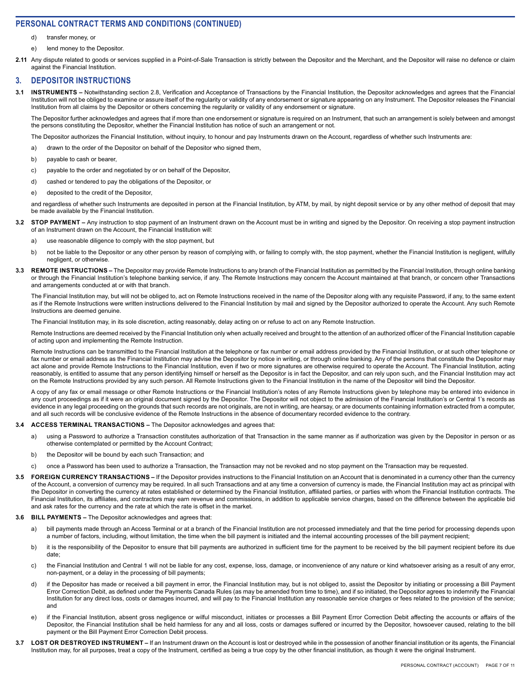- d) transfer money, or
- e) lend money to the Depositor.
- 2.11 Any dispute related to goods or services supplied in a Point-of-Sale Transaction is strictly between the Depositor and the Merchant, and the Depositor will raise no defence or claim against the Financial Institution.

## **3. DEPOSITOR INSTRUCTIONS**

**3.1 INSTRUMENTS –** Notwithstanding section 2.8, Verification and Acceptance of Transactions by the Financial Institution, the Depositor acknowledges and agrees that the Financial Institution will not be obliged to examine or assure itself of the regularity or validity of any endorsement or signature appearing on any Instrument. The Depositor releases the Financial Institution from all claims by the Depositor or others concerning the regularity or validity of any endorsement or signature.

The Depositor further acknowledges and agrees that if more than one endorsement or signature is required on an Instrument, that such an arrangement is solely between and amongst the persons constituting the Depositor, whether the Financial Institution has notice of such an arrangement or not.

The Depositor authorizes the Financial Institution, without inquiry, to honour and pay Instruments drawn on the Account, regardless of whether such Instruments are:

- a) drawn to the order of the Depositor on behalf of the Depositor who signed them,
- b) payable to cash or bearer,
- c) payable to the order and negotiated by or on behalf of the Depositor,
- d) cashed or tendered to pay the obligations of the Depositor, or
- e) deposited to the credit of the Depositor,

and regardless of whether such Instruments are deposited in person at the Financial Institution, by ATM, by mail, by night deposit service or by any other method of deposit that may be made available by the Financial Institution.

- **3.2 STOP PAYMENT** Any instruction to stop payment of an Instrument drawn on the Account must be in writing and signed by the Depositor. On receiving a stop payment instruction of an Instrument drawn on the Account, the Financial Institution will:
	- a) use reasonable diligence to comply with the stop payment, but
	- b) not be liable to the Depositor or any other person by reason of complying with, or failing to comply with, the stop payment, whether the Financial Institution is negligent, wilfully negligent, or otherwise.
- 3.3 REMOTE INSTRUCTIONS The Depositor may provide Remote Instructions to any branch of the Financial Institution as permitted by the Financial Institution, through online banking or through the Financial Institution's telephone banking service, if any. The Remote Instructions may concern the Account maintained at that branch, or concern other Transactions and arrangements conducted at or with that branch.

The Financial Institution may, but will not be obliged to, act on Remote Instructions received in the name of the Depositor along with any requisite Password, if any, to the same extent as if the Remote Instructions were written instructions delivered to the Financial Institution by mail and signed by the Depositor authorized to operate the Account. Any such Remote Instructions are deemed genuine.

The Financial Institution may, in its sole discretion, acting reasonably, delay acting on or refuse to act on any Remote Instruction.

Remote Instructions are deemed received by the Financial Institution only when actually received and brought to the attention of an authorized officer of the Financial Institution capable of acting upon and implementing the Remote Instruction.

Remote Instructions can be transmitted to the Financial Institution at the telephone or fax number or email address provided by the Financial Institution, or at such other telephone or fax number or email address as the Financial Institution may advise the Depositor by notice in writing, or through online banking. Any of the persons that constitute the Depositor may act alone and provide Remote Instructions to the Financial Institution, even if two or more signatures are otherwise required to operate the Account. The Financial Institution, acting reasonably, is entitled to assume that any person identifying himself or herself as the Depositor is in fact the Depositor, and can rely upon such, and the Financial Institution may act on the Remote Instructions provided by any such person. All Remote Instructions given to the Financial Institution in the name of the Depositor will bind the Depositor.

A copy of any fax or email message or other Remote Instructions or the Financial Institution's notes of any Remote Instructions given by telephone may be entered into evidence in any court proceedings as if it were an original document signed by the Depositor. The Depositor will not object to the admission of the Financial Institution's or Central 1's records as evidence in any legal proceeding on the grounds that such records are not originals, are not in writing, are hearsay, or are documents containing information extracted from a computer, and all such records will be conclusive evidence of the Remote Instructions in the absence of documentary recorded evidence to the contrary.

#### **3.4 ACCESS TERMINAL TRANSACTIONS –** The Depositor acknowledges and agrees that:

- a) using a Password to authorize a Transaction constitutes authorization of that Transaction in the same manner as if authorization was given by the Depositor in person or as otherwise contemplated or permitted by the Account Contract;
- b) the Depositor will be bound by each such Transaction; and
- c) once a Password has been used to authorize a Transaction, the Transaction may not be revoked and no stop payment on the Transaction may be requested.
- **3.5 FOREIGN CURRENCY TRANSACTIONS** If the Depositor provides instructions to the Financial Institution on an Account that is denominated in a currency other than the currency of the Account, a conversion of currency may be required. In all such Transactions and at any time a conversion of currency is made, the Financial Institution may act as principal with the Depositor in converting the currency at rates established or determined by the Financial Institution, affiliated parties, or parties with whom the Financial Institution contracts. The Financial Institution, its affiliates, and contractors may earn revenue and commissions, in addition to applicable service charges, based on the difference between the applicable bid and ask rates for the currency and the rate at which the rate is offset in the market.

#### **3.6 BILL PAYMENTS –** The Depositor acknowledges and agrees that:

- a) bill payments made through an Access Terminal or at a branch of the Financial Institution are not processed immediately and that the time period for processing depends upon a number of factors, including, without limitation, the time when the bill payment is initiated and the internal accounting processes of the bill payment recipient;
- b) it is the responsibility of the Depositor to ensure that bill payments are authorized in sufficient time for the payment to be received by the bill payment recipient before its due date;
- c) the Financial Institution and Central 1 will not be liable for any cost, expense, loss, damage, or inconvenience of any nature or kind whatsoever arising as a result of any error, non-payment, or a delay in the processing of bill payments;
- d) if the Depositor has made or received a bill payment in error, the Financial Institution may, but is not obliged to, assist the Depositor by initiating or processing a Bill Payment Error Correction Debit, as defined under the Payments Canada Rules (as may be amended from time to time), and if so initiated, the Depositor agrees to indemnify the Financial Institution for any direct loss, costs or damages incurred, and will pay to the Financial Institution any reasonable service charges or fees related to the provision of the service; and
- e) if the Financial Institution, absent gross negligence or wilful misconduct, initiates or processes a Bill Payment Error Correction Debit affecting the accounts or affairs of the Depositor, the Financial Institution shall be held harmless for any and all loss, costs or damages suffered or incurred by the Depositor, howsoever caused, relating to the bill payment or the Bill Payment Error Correction Debit process.
- 3.7 LOST OR DESTROYED INSTRUMENT If an Instrument drawn on the Account is lost or destroyed while in the possession of another financial institution or its agents, the Financial Institution may, for all purposes, treat a copy of the Instrument, certified as being a true copy by the other financial institution, as though it were the original Instrument.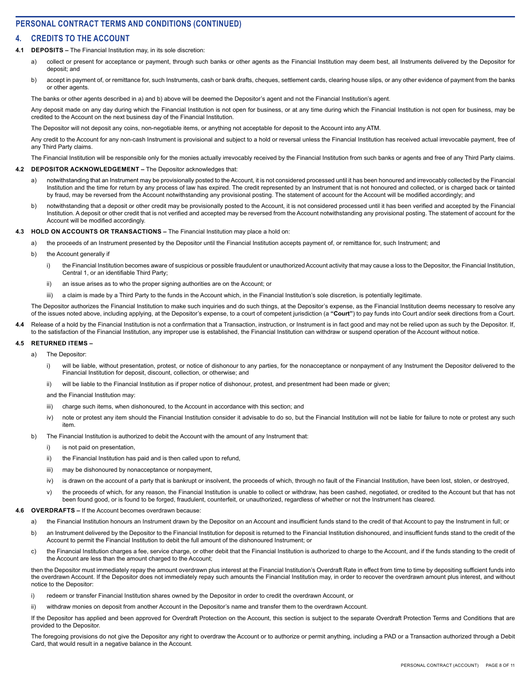## **4. CREDITS TO THE ACCOUNT**

## **4.1 DEPOSITS –** The Financial Institution may, in its sole discretion:

- a) collect or present for acceptance or payment, through such banks or other agents as the Financial Institution may deem best, all Instruments delivered by the Depositor for deposit; and
- b) accept in payment of, or remittance for, such Instruments, cash or bank drafts, cheques, settlement cards, clearing house slips, or any other evidence of payment from the banks or other agents.

The banks or other agents described in a) and b) above will be deemed the Depositor's agent and not the Financial Institution's agent.

Any deposit made on any day during which the Financial Institution is not open for business, or at any time during which the Financial Institution is not open for business, may be credited to the Account on the next business day of the Financial Institution.

The Depositor will not deposit any coins, non-negotiable items, or anything not acceptable for deposit to the Account into any ATM.

Any credit to the Account for any non-cash Instrument is provisional and subject to a hold or reversal unless the Financial Institution has received actual irrevocable payment, free of any Third Party claims.

The Financial Institution will be responsible only for the monies actually irrevocably received by the Financial Institution from such banks or agents and free of any Third Party claims.

## **4.2 DEPOSITOR ACKNOWLEDGEMENT –** The Depositor acknowledges that:

- a) notwithstanding that an Instrument may be provisionally posted to the Account, it is not considered processed until it has been honoured and irrevocably collected by the Financial Institution and the time for return by any process of law has expired. The credit represented by an Instrument that is not honoured and collected, or is charged back or tainted by fraud, may be reversed from the Account notwithstanding any provisional posting. The statement of account for the Account will be modified accordingly; and
- b) notwithstanding that a deposit or other credit may be provisionally posted to the Account, it is not considered processed until it has been verified and accepted by the Financial Institution. A deposit or other credit that is not verified and accepted may be reversed from the Account notwithstanding any provisional posting. The statement of account for the Account will be modified accordingly.

## **4.3 HOLD ON ACCOUNTS OR TRANSACTIONS –** The Financial Institution may place a hold on:

- a) the proceeds of an Instrument presented by the Depositor until the Financial Institution accepts payment of, or remittance for, such Instrument; and
- b) the Account generally if
	- i) the Financial Institution becomes aware of suspicious or possible fraudulent or unauthorized Account activity that may cause a loss to the Depositor, the Financial Institution, Central 1, or an identifiable Third Party;
	- ii) an issue arises as to who the proper signing authorities are on the Account; or
	- iii) a claim is made by a Third Party to the funds in the Account which, in the Financial Institution's sole discretion, is potentially legitimate.

The Depositor authorizes the Financial Institution to make such inquiries and do such things, at the Depositor's expense, as the Financial Institution deems necessary to resolve any of the issues noted above, including applying, at the Depositor's expense, to a court of competent jurisdiction (a **"Court"**) to pay funds into Court and/or seek directions from a Court.

Release of a hold by the Financial Institution is not a confirmation that a Transaction, instruction, or Instrument is in fact good and may not be relied upon as such by the Depositor. If, to the satisfaction of the Financial Institution, any improper use is established, the Financial Institution can withdraw or suspend operation of the Account without notice.

### **4.5 RETURNED ITEMS –**

- a) The Depositor:
	- i) will be liable, without presentation, protest, or notice of dishonour to any parties, for the nonacceptance or nonpayment of any Instrument the Depositor delivered to the Financial Institution for deposit, discount, collection, or otherwise; and
	- ii) will be liable to the Financial Institution as if proper notice of dishonour, protest, and presentment had been made or given;

and the Financial Institution may:

- iii) charge such items, when dishonoured, to the Account in accordance with this section; and
- iv) note or protest any item should the Financial Institution consider it advisable to do so, but the Financial Institution will not be liable for failure to note or protest any such item.
- b) The Financial Institution is authorized to debit the Account with the amount of any Instrument that:
	- i) is not paid on presentation.
	- ii) the Financial Institution has paid and is then called upon to refund.
	- iii) may be dishonoured by nonacceptance or nonpayment,
	- iv) is drawn on the account of a party that is bankrupt or insolvent, the proceeds of which, through no fault of the Financial Institution, have been lost, stolen, or destroyed,
	- v) the proceeds of which, for any reason, the Financial Institution is unable to collect or withdraw, has been cashed, negotiated, or credited to the Account but that has not been found good, or is found to be forged, fraudulent, counterfeit, or unauthorized, regardless of whether or not the Instrument has cleared.

#### **4.6 OVERDRAFTS –** If the Account becomes overdrawn because:

- a) the Financial Institution honours an Instrument drawn by the Depositor on an Account and insufficient funds stand to the credit of that Account to pay the Instrument in full; or
- b) an Instrument delivered by the Depositor to the Financial Institution for deposit is returned to the Financial Institution dishonoured, and insufficient funds stand to the credit of the Account to permit the Financial Institution to debit the full amount of the dishonoured Instrument; or
- c) the Financial Institution charges a fee, service charge, or other debit that the Financial Institution is authorized to charge to the Account, and if the funds standing to the credit of the Account are less than the amount charged to the Account;

then the Depositor must immediately repay the amount overdrawn plus interest at the Financial Institution's Overdraft Rate in effect from time to time by depositing sufficient funds into the overdrawn Account. If the Depositor does not immediately repay such amounts the Financial Institution may, in order to recover the overdrawn amount plus interest, and without notice to the Depositor:

- i) redeem or transfer Financial Institution shares owned by the Depositor in order to credit the overdrawn Account, or
- ii) withdraw monies on deposit from another Account in the Depositor's name and transfer them to the overdrawn Account.

If the Depositor has applied and been approved for Overdraft Protection on the Account, this section is subject to the separate Overdraft Protection Terms and Conditions that are provided to the Depositor.

The foregoing provisions do not give the Depositor any right to overdraw the Account or to authorize or permit anything, including a PAD or a Transaction authorized through a Debit Card, that would result in a negative balance in the Account.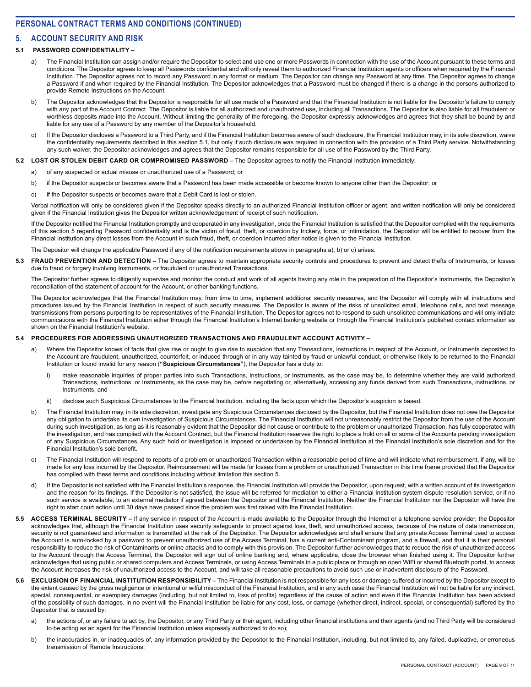## **5. ACCOUNT SECURITY AND RISK**

## **5.1 PASSWORD CONFIDENTIALITY –**

- a) The Financial Institution can assign and/or require the Depositor to select and use one or more Passwords in connection with the use of the Account pursuant to these terms and conditions. The Depositor agrees to keep all Passwords confidential and will only reveal them to authorized Financial Institution agents or officers when required by the Financial Institution. The Depositor agrees not to record any Password in any format or medium. The Depositor can change any Password at any time. The Depositor agrees to change a Password if and when required by the Financial Institution. The Depositor acknowledges that a Password must be changed if there is a change in the persons authorized to provide Remote Instructions on the Account.
- b) The Depositor acknowledges that the Depositor is responsible for all use made of a Password and that the Financial Institution is not liable for the Depositor's failure to comply with any part of the Account Contract. The Depositor is liable for all authorized and unauthorized use, including all Transactions. The Depositor is also liable for all fraudulent or worthless deposits made into the Account. Without limiting the generality of the foregoing, the Depositor expressly acknowledges and agrees that they shall be bound by and liable for any use of a Password by any member of the Depositor's household.
- c) If the Depositor discloses a Password to a Third Party, and if the Financial Institution becomes aware of such disclosure, the Financial Institution may, in its sole discretion, waive the confidentiality requirements described in this section 5.1, but only if such disclosure was required in connection with the provision of a Third Party service. Notwithstanding any such waiver, the Depositor acknowledges and agrees that the Depositor remains responsible for all use of the Password by the Third Party.

### **5.2 LOST OR STOLEN DEBIT CARD OR COMPROMISED PASSWORD –** The Depositor agrees to notify the Financial Institution immediately:

- a) of any suspected or actual misuse or unauthorized use of a Password; or
- b) if the Depositor suspects or becomes aware that a Password has been made accessible or become known to anyone other than the Depositor; or
- c) if the Depositor suspects or becomes aware that a Debit Card is lost or stolen.

Verbal notification will only be considered given if the Depositor speaks directly to an authorized Financial Institution officer or agent, and written notification will only be considered given if the Financial Institution gives the Depositor written acknowledgement of receipt of such notification.

If the Depositor notified the Financial Institution promptly and cooperated in any investigation, once the Financial Institution is satisfied that the Depositor complied with the requirements of this section 5 regarding Password confidentiality and is the victim of fraud, theft, or coercion by trickery, force, or intimidation, the Depositor will be entitled to recover from the Financial Institution any direct losses from the Account in such fraud, theft, or coercion incurred after notice is given to the Financial Institution.

The Depositor will change the applicable Password if any of the notification requirements above in paragraphs a), b) or c) arises.

**5.3 FRAUD PREVENTION AND DETECTION –** The Depositor agrees to maintain appropriate security controls and procedures to prevent and detect thefts of Instruments, or losses due to fraud or forgery involving Instruments, or fraudulent or unauthorized Transactions.

The Depositor further agrees to diligently supervise and monitor the conduct and work of all agents having any role in the preparation of the Depositor's Instruments, the Depositor's reconciliation of the statement of account for the Account, or other banking functions.

The Depositor acknowledges that the Financial Institution may, from time to time, implement additional security measures, and the Depositor will comply with all instructions and procedures issued by the Financial Institution in respect of such security measures. The Depositor is aware of the risks of unsolicited email, telephone calls, and text message transmissions from persons purporting to be representatives of the Financial Institution. The Depositor agrees not to respond to such unsolicited communications and will only initiate communications with the Financial Institution either through the Financial Institution's Internet banking website or through the Financial Institution's published contact information as shown on the Financial Institution's website.

### **5.4 PROCEDURES FOR ADDRESSING UNAUTHORIZED TRANSACTIONS AND FRAUDULENT ACCOUNT ACTIVITY –**

- a) Where the Depositor knows of facts that give rise or ought to give rise to suspicion that any Transactions, instructions in respect of the Account, or Instruments deposited to the Account are fraudulent, unauthorized, counterfeit, or induced through or in any way tainted by fraud or unlawful conduct, or otherwise likely to be returned to the Financial Institution or found invalid for any reason (**"Suspicious Circumstances"**), the Depositor has a duty to:
	- i) make reasonable inquiries of proper parties into such Transactions, instructions, or Instruments, as the case may be, to determine whether they are valid authorized Transactions, instructions, or Instruments, as the case may be, before negotiating or, alternatively, accessing any funds derived from such Transactions, instructions, or Instruments, and
	- ii) disclose such Suspicious Circumstances to the Financial Institution, including the facts upon which the Depositor's suspicion is based.
- b) The Financial Institution may, in its sole discretion, investigate any Suspicious Circumstances disclosed by the Depositor, but the Financial Institution does not owe the Depositor any obligation to undertake its own investigation of Suspicious Circumstances. The Financial Institution will not unreasonably restrict the Depositor from the use of the Account during such investigation, as long as it is reasonably evident that the Depositor did not cause or contribute to the problem or unauthorized Transaction, has fully cooperated with the investigation, and has complied with the Account Contract, but the Financial Institution reserves the right to place a hold on all or some of the Accounts pending investigation of any Suspicious Circumstances. Any such hold or investigation is imposed or undertaken by the Financial Institution at the Financial Institution's sole discretion and for the Financial Institution's sole benefit.
- c) The Financial Institution will respond to reports of a problem or unauthorized Transaction within a reasonable period of time and will indicate what reimbursement, if any, will be made for any loss incurred by the Depositor. Reimbursement will be made for losses from a problem or unauthorized Transaction in this time frame provided that the Depositor has complied with these terms and conditions including without limitation this section 5.
- d) If the Depositor is not satisfied with the Financial Institution's response, the Financial Institution will provide the Depositor, upon request, with a written account of its investigation and the reason for its findings. If the Depositor is not satisfied, the issue will be referred for mediation to either a Financial Institution system dispute resolution service, or if no such service is available, to an external mediator if agreed between the Depositor and the Financial Institution. Neither the Financial Institution nor the Depositor will have the right to start court action until 30 days have passed since the problem was first raised with the Financial Institution.
- **5.5 ACCESS TERMINAL SECURITY** If any service in respect of the Account is made available to the Depositor through the Internet or a telephone service provider, the Depositor acknowledges that, although the Financial Institution uses security safeguards to protect against loss, theft, and unauthorized access, because of the nature of data transmission, security is not guaranteed and information is transmitted at the risk of the Depositor. The Depositor acknowledges and shall ensure that any private Access Terminal used to access the Account is auto-locked by a password to prevent unauthorized use of the Access Terminal, has a current anti-Contaminant program, and a firewall, and that it is their personal responsibility to reduce the risk of Contaminants or online attacks and to comply with this provision. The Depositor further acknowledges that to reduce the risk of unauthorized access to the Account through the Access Terminal, the Depositor will sign out of online banking and, where applicable, close the browser when finished using it. The Depositor further acknowledges that using public or shared computers and Access Terminals, or using Access Terminals in a public place or through an open WiFi or shared Bluetooth portal, to access the Account increases the risk of unauthorized access to the Account, and will take all reasonable precautions to avoid such use or inadvertent disclosure of the Password.
- **5.6 EXCLUSION OF FINANCIAL INSTITUTION RESPONSIBILITY** The Financial Institution is not responsible for any loss or damage suffered or incurred by the Depositor except to the extent caused by the gross negligence or intentional or wilful misconduct of the Financial Institution, and in any such case the Financial Institution will not be liable for any indirect, special, consequential, or exemplary damages (including, but not limited to, loss of profits) regardless of the cause of action and even if the Financial Institution has been advised of the possibility of such damages. In no event will the Financial Institution be liable for any cost, loss, or damage (whether direct, indirect, special, or consequential) suffered by the Depositor that is caused by:
	- a) the actions of, or any failure to act by, the Depositor, or any Third Party or their agent, including other financial institutions and their agents (and no Third Party will be considered to be acting as an agent for the Financial Institution unless expressly authorized to do so);
	- b) the inaccuracies in, or inadequacies of, any information provided by the Depositor to the Financial Institution, including, but not limited to, any failed, duplicative, or erroneous transmission of Remote Instructions;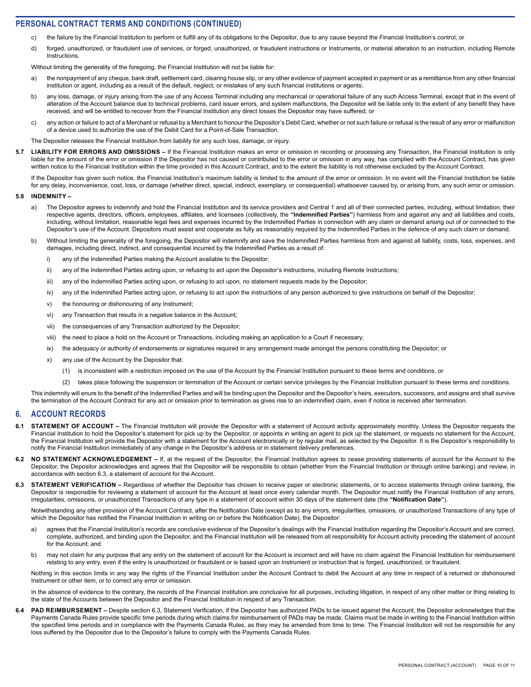- c) the failure by the Financial Institution to perform or fulfill any of its obligations to the Depositor, due to any cause beyond the Financial Institution's control; or
- d) forged, unauthorized, or fraudulent use of services, or forged, unauthorized, or fraudulent instructions or Instruments, or material alteration to an instruction, including Remote **Instructions**

Without limiting the generality of the foregoing, the Financial Institution will not be liable for:

- a) the nonpayment of any cheque, bank draft, settlement card, clearing house slip, or any other evidence of payment accepted in payment or as a remittance from any other financial institution or agent, including as a result of the default, neglect, or mistakes of any such financial institutions or agents;
- b) any loss, damage, or injury arising from the use of any Access Terminal including any mechanical or operational failure of any such Access Terminal, except that in the event of alteration of the Account balance due to technical problems, card issuer errors, and system malfunctions, the Depositor will be liable only to the extent of any benefit they have received, and will be entitled to recover from the Financial Institution any direct losses the Depositor may have suffered; or
- c) any action or failure to act of a Merchant or refusal by a Merchant to honour the Depositor's Debit Card, whether or not such failure or refusal is the result of any error or malfunction of a device used to authorize the use of the Debit Card for a Point-of-Sale Transaction.
- The Depositor releases the Financial Institution from liability for any such loss, damage, or injury.
- **5.7 LIABILITY FOR ERRORS AND OMISSIONS** If the Financial Institution makes an error or omission in recording or processing any Transaction, the Financial Institution is only liable for the amount of the error or omission if the Depositor has not caused or contributed to the error or omission in any way, has complied with the Account Contract, has given written notice to the Financial Institution within the time provided in this Account Contract, and to the extent the liability is not otherwise excluded by the Account Contract.

If the Depositor has given such notice, the Financial Institution's maximum liability is limited to the amount of the error or omission. In no event will the Financial Institution be liable for any delay, inconvenience, cost, loss, or damage (whether direct, special, indirect, exemplary, or consequential) whatsoever caused by, or arising from, any such error or omission.

#### **5.8 INDEMNITY –**

- a) The Depositor agrees to indemnify and hold the Financial Institution and its service providers and Central 1 and all of their connected parties, including, without limitation, their respective agents, directors, officers, employees, affiliates, and licensees (collectively, the **"Indemnified Parties"**) harmless from and against any and all liabilities and costs, including, without limitation, reasonable legal fees and expenses incurred by the Indemnified Parties in connection with any claim or demand arising out of or connected to the Depositor's use of the Account. Depositors must assist and cooperate as fully as reasonably required by the Indemnified Parties in the defence of any such claim or demand.
- b) Without limiting the generality of the foregoing, the Depositor will indemnify and save the Indemnified Parties harmless from and against all liability, costs, loss, expenses, and damages, including direct, indirect, and consequential incurred by the Indemnified Parties as a result of:
	- i) any of the Indemnified Parties making the Account available to the Depositor;
	- ii) any of the Indemnified Parties acting upon, or refusing to act upon the Depositor's instructions, including Remote Instructions;
	- iii) any of the Indemnified Parties acting upon, or refusing to act upon, no statement requests made by the Depositor;
	- iv) any of the Indemnified Parties acting upon, or refusing to act upon the instructions of any person authorized to give instructions on behalf of the Depositor;
	- v) the honouring or dishonouring of any Instrument;
	- vi) any Transaction that results in a negative balance in the Account;
	- vii) the consequences of any Transaction authorized by the Depositor;
	- viii) the need to place a hold on the Account or Transactions, including making an application to a Court if necessary;
	- ix) the adequacy or authority of endorsements or signatures required in any arrangement made amongst the persons constituting the Depositor; or
	- x) any use of the Account by the Depositor that:
		- (1) is inconsistent with a restriction imposed on the use of the Account by the Financial Institution pursuant to these terms and conditions, or
		- (2) takes place following the suspension or termination of the Account or certain service privileges by the Financial Institution pursuant to these terms and conditions.

This indemnity will enure to the benefit of the Indemnified Parties and will be binding upon the Depositor and the Depositor's heirs, executors, successors, and assigns and shall survive the termination of the Account Contract for any act or omission prior to termination as gives rise to an indemnified claim, even if notice is received after termination.

## **6. ACCOUNT RECORDS**

- **STATEMENT OF ACCOUNT –** The Financial Institution will provide the Depositor with a statement of Account activity approximately monthly. Unless the Depositor requests the Financial Institution to hold the Depositor's statement for pick up by the Depositor, or appoints in writing an agent to pick up the statement, or requests no statement for the Account, the Financial Institution will provide the Depositor with a statement for the Account electronically or by regular mail, as selected by the Depositor. It is the Depositor's responsibility to notify the Financial Institution immediately of any change in the Depositor's address or in statement delivery preferences.
- **6.2 NO STATEMENT ACKNOWLEDGEMENT** If, at the request of the Depositor, the Financial Institution agrees to cease providing statements of account for the Account to the Depositor, the Depositor acknowledges and agrees that the Depositor will be responsible to obtain (whether from the Financial Institution or through online banking) and review, in accordance with section 6.3, a statement of account for the Account.
- **STATEMENT VERIFICATION –** Regardless of whether the Depositor has chosen to receive paper or electronic statements, or to access statements through online banking, the Depositor is responsible for reviewing a statement of account for the Account at least once every calendar month. The Depositor must notify the Financial Institution of any errors, irregularities, omissions, or unauthorized Transactions of any type in a statement of account within 30 days of the statement date (the **"Notification Date"**).

Notwithstanding any other provision of the Account Contract, after the Notification Date (except as to any errors, irregularities, omissions, or unauthorized Transactions of any type of which the Depositor has notified the Financial Institution in writing on or before the Notification Date), the Depositor:

- a) agrees that the Financial Institution's records are conclusive evidence of the Depositor's dealings with the Financial Institution regarding the Depositor's Account and are correct, complete, authorized, and binding upon the Depositor, and the Financial Institution will be released from all responsibility for Account activity preceding the statement of account for the Account; and
- b) may not claim for any purpose that any entry on the statement of account for the Account is incorrect and will have no claim against the Financial Institution for reimbursement relating to any entry, even if the entry is unauthorized or fraudulent or is based upon an Instrument or instruction that is forged, unauthorized, or fraudulent.

Nothing in this section limits in any way the rights of the Financial Institution under the Account Contract to debit the Account at any time in respect of a returned or dishonoured Instrument or other item, or to correct any error or omission.

In the absence of evidence to the contrary, the records of the Financial Institution are conclusive for all purposes, including litigation, in respect of any other matter or thing relating to the state of the Accounts between the Depositor and the Financial Institution in respect of any Transaction.

PAD REIMBURSEMENT – Despite section 6.3, Statement Verification, if the Depositor has authorized PADs to be issued against the Account, the Depositor acknowledges that the Payments Canada Rules provide specific time periods during which claims for reimbursement of PADs may be made. Claims must be made in writing to the Financial Institution within the specified time periods and in compliance with the Payments Canada Rules, as they may be amended from time to time. The Financial Institution will not be responsible for any loss suffered by the Depositor due to the Depositor's failure to comply with the Payments Canada Rules.